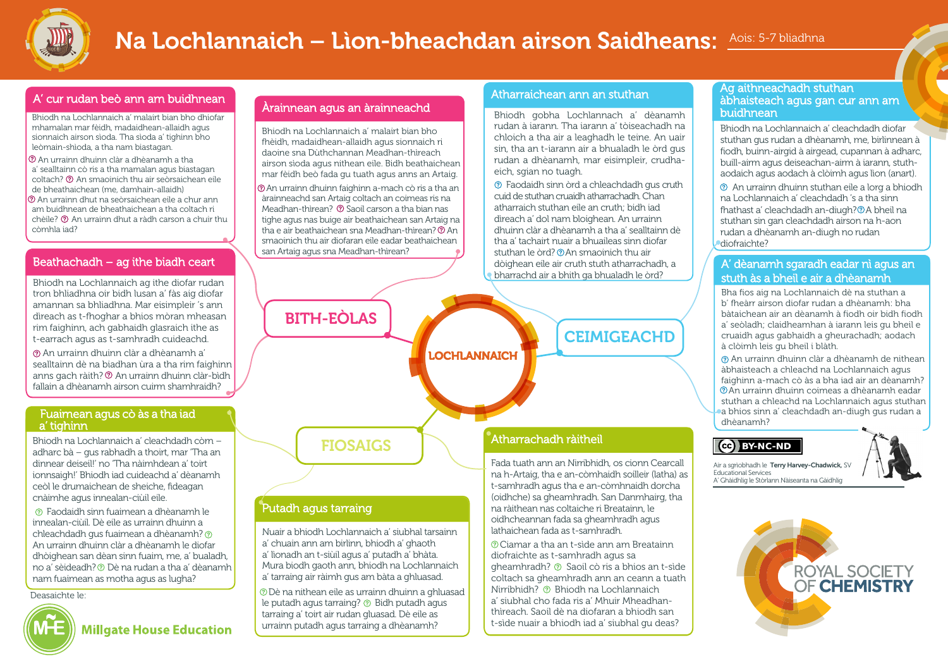

# Na Lochlannaich – Lìon-bheachdan airson Saidheans: Aois: 5-7 bliadhna

#### A' cur rudan beò ann am buidhnean

Bhiodh na Lochlannaich a' malairt bian bho dhiofar mhamalan mar fèidh, madaidhean-allaidh agus sionnaich airson sìoda. Tha sìoda a' tighinn bho leòmain-shìoda, a tha nam biastagan.

 An urrainn dhuinn clàr a dhèanamh a tha a' sealltainn cò ris a tha mamalan agus biastagan coltach? An smaoinich thu air seòrsaichean eile de bheathaichean (me, damhain-allaidh) An urrainn dhut na seòrsaichean eile a chur ann am buidhnean de bheathaichean a tha coltach ri chèile? An urrainn dhut a ràdh carson a chuir thu còmhla iad?

#### Beathachadh – ag ithe biadh ceart

Bhiodh na Lochlannaich ag ithe diofar rudan tron bhliadhna oir bidh lusan a' fàs aig diofar amannan sa bhliadhna. Mar eisimpleir 's ann dìreach as t-fhoghar a bhios mòran mheasan rim faighinn, ach gabhaidh glasraich ithe as t-earrach agus as t-samhradh cuideachd.

An urrainn dhuinn clàr a dhèanamh a' sealltainn dè na biadhan ùra a tha rim faighinn anns gach ràith? © An urrainn dhuinn clàr-bìdh fallain a dhèanamh airson cuirm shamhraidh?

#### Fuaimean agus cò às a tha iad a' tighinn

Bhiodh na Lochlannaich a' cleachdadh còrn – adharc bà – gus rabhadh a thoirt, mar 'Tha an dinnear deiseil!' no 'Tha nàimhdean a' toirt ionnsaigh!' Bhiodh iad cuideachd a' dèanamh ceòl le drumaichean de sheiche, fìdeagan cnàimhe agus innealan-ciùil eile.

Faodaidh sinn fuaimean a dhèanamh le innealan-ciùil. Dè eile as urrainn dhuinn a chleachdadh gus fuaimean a dhèanamh? An urrainn dhuinn clàr a dhèanamh le diofar dhòighean san dèan sinn fuaim, me, a' bualadh, no a' sèideadh? Dè na rudan a tha a' dèanamh nam fuaimean as motha agus as lugha?

Deasaichte le:



**Millgate House Education** 

#### Àrainnean agus an àrainneachd

Bhiodh na Lochlannaich a' malairt bian bho fhèidh, madaidhean-allaidh agus sionnaich ri daoine sna Dùthchannan Meadhan-thìreach airson sìoda agus nithean eile. Bidh beathaichean mar fèidh beò fada gu tuath agus anns an Artaig.

 An urrainn dhuinn faighinn a-mach cò ris a tha an àrainneachd san Artaig coltach an coimeas ris na Meadhan-thìrean? © Saoil carson a tha bian nas tighe agus nas buige air beathaichean san Artaig na tha e air beathaichean sna Meadhan-thìrean? (?) An smaoinich thu air diofaran eile eadar beathaichean san Artaig agus sna Meadhan-thìrean?

a' lìonadh an t-siùil agus a' putadh a' bhàta. Mura biodh gaoth ann, bhiodh na Lochlannaich a' tarraing air ràimh gus am bàta a ghluasad. Dè na nithean eile as urrainn dhuinn a ghluasad le putadh agus tarraing? @ Bidh putadh agus tarraing a' toirt air rudan gluasad. Dè eile as urrainn putadh agus tarraing a dhèanamh?

#### Atharraichean ann an stuthan

Bhiodh gobha Lochlannach a' dèanamh rudan à iarann. Tha iarann a' tòiseachadh na chloich a tha air a leaghadh le teine. An uair sin, tha an t-iarann air a bhualadh le òrd gus rudan a dhèanamh, mar eisimpleir, crudhaeich, sgian no tuagh.

Faodaidh sinn òrd a chleachdadh gus cruth cuid de stuthan cruaidh atharrachadh. Chan atharraich stuthan eile an cruth; bidh iad dìreach a' dol nam bloighean. An urrainn dhuinn clàr a dhèanamh a tha a' sealltainn dè tha a' tachairt nuair a bhuaileas sinn diofar stuthan le òrd? ® An smaoinich thu air dòighean eile air cruth stuth atharrachadh, a bharrachd air a bhith ga bhualadh le òrd?



 Ciamar a tha an t-sìde ann am Breatainn diofraichte as t-samhradh agus sa gheamhradh? Saoil cò ris a bhios an t-sìde coltach sa gheamhradh ann an ceann a tuath Nirribhidh? Bhiodh na Lochlannaich a' siubhal cho fada ris a' Mhuir Mheadhanthìreach. Saoil dè na diofaran a bhiodh san t-sìde nuair a bhiodh iad a' siubhal gu deas?

#### Ag aithneachadh stuthan àbhaisteach agus gan cur ann am buidhnean

Bhiodh na Lochlannaich a' cleachdadh diofar stuthan gus rudan a dhèanamh, me, birlinnean à fiodh, buinn-airgid à airgead, cupannan à adharc, buill-airm agus deiseachan-airm à iarann, stuthaodaich agus aodach à clòimh agus lìon (anart). An urrainn dhuinn stuthan eile a lorg a bhiodh

na Lochlannaich a' cleachdadh 's a tha sinn fhathast a' cleachdadh an-diugh? @ A bheil na stuthan sin gan cleachdadh airson na h-aon rudan a dhèanamh an-diugh no rudan diofraichte?

#### A' dèanamh sgaradh eadar nì agus an stuth às a bheil e air a dhèanamh

Bha fios aig na Lochlannaich dè na stuthan a b' fheàrr airson diofar rudan a dhèanamh: bha bàtaichean air an dèanamh à fiodh oir bidh fiodh a' seòladh; claidheamhan à iarann leis gu bheil e cruaidh agus gabhaidh a gheurachadh; aodach à clòimh leis gu bheil i blàth.

An urrainn dhuinn clàr a dhèanamh de nithean àbhaisteach a chleachd na Lochlannaich agus faighinn a-mach cò às a bha iad air an dèanamh? An urrainn dhuinn coimeas a dhèanamh eadar stuthan a chleachd na Lochlannaich agus stuthan a bhios sinn a' cleachdadh an-diugh gus rudan a dhèanamh?

#### (cc) BY-NC-ND

Air a sgrìobhadh le Terry Harvey-Chadwick, SV Educational Services A' Ghàidhlig le Stòrlann Nàiseanta na Gàidhlig



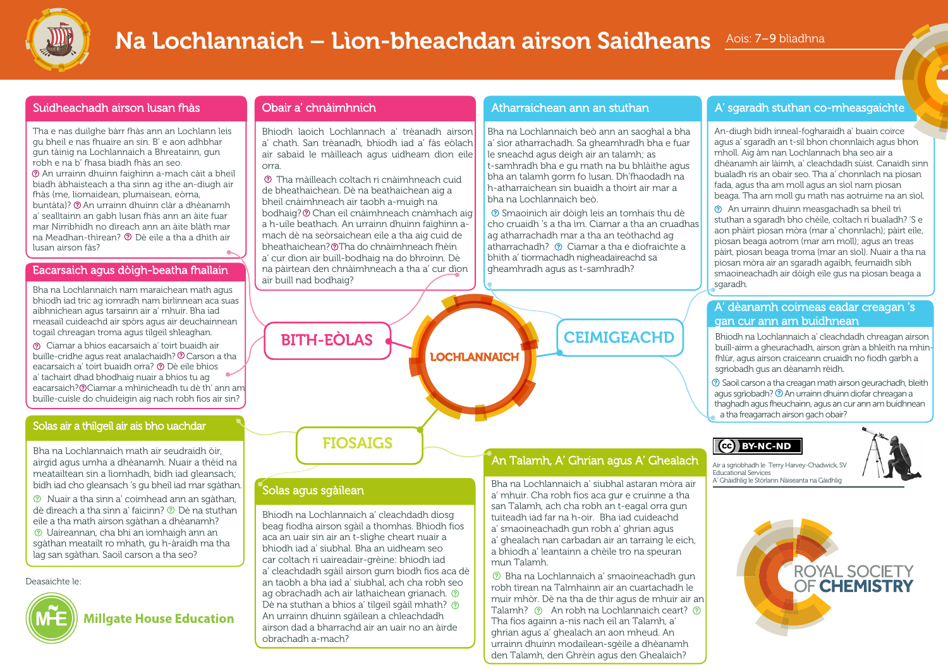

# Na Lochlannaich – Lìon-bheachdan airson Saidheans Aois: 7-9 bliadhna

#### Suidheachadh airson lusan fhàs

Tha e nas duilghe bàrr fhàs ann an Lochlann leis gu bheil e nas fhuaire an sin. B' e aon adhbhar gun tàinig na Lochlannaich a Bhreatainn, gun robh e na b' fhasa biadh fhàs an seo. An urrainn dhuinn faighinn a-mach càit a bheil biadh àbhaisteach a tha sinn ag ithe an-diugh air fhàs (me, liomaidean, plumaisean, eòrna, buntàta)? An urrainn dhuinn clàr a dhèanamh a' sealltainn an gabh lusan fhàs ann an àite fuar mar Nirribhidh no dìreach ann an àite blàth mar na Meadhan-thìrean? Dè eile a tha a dhìth air lusan airson fàs?

#### Eacarsaich agus dòigh-beatha fhallain

Bha na Lochlannaich nam maraichean math agus bhiodh iad tric ag iomradh nam birlinnean aca suas aibhnichean agus tarsainn air a' mhuir. Bha iad measail cuideachd air spòrs agus air deuchainnean togail chreagan troma agus tilgeil shleaghan.

 Ciamar a bhios eacarsaich a' toirt buaidh air buille-cridhe agus reat analachaidh? © Carson a tha eacarsaich a' toirt buaidh orra? Dè eile bhios a' tachairt dhad bhodhaig nuair a bhios tu ag eacarsaich? Ciamar a mhìnicheadh tu dè th' ann am buille-cuisle do chuideigin aig nach robh fios air sin?

#### Solas air a thilgeil air ais bho uachdar

Bha na Lochlannaich math air seudraidh òir, airgid agus umha a dhèanamh. Nuair a thèid na meatailtean sin a lìomhadh, bidh iad gleansach; bidh iad cho gleansach 's gu bheil iad mar sgàthan.

Nuair a tha sinn a' coimhead ann an sgàthan, dè dìreach a tha sinn a' faicinn? Dè na stuthan eile a tha math airson sgàthan a dhèanamh? Uaireannan, cha bhi an ìomhaigh ann an sgàthan meatailt ro mhath, gu h-àraidh ma tha lag san sgàthan. Saoil carson a tha seo?

Deasaichte le:



#### Obair a' chnàimhnich

Solas agus sgàilean

obrachadh a-mach?

Bhiodh na Lochlannaich a' cleachdadh diosg beag fiodha airson sgàil a thomhas. Bhiodh fios aca an uair sin air an t-slighe cheart nuair a bhiodh iad a' siubhal. Bha an uidheam seo car coltach ri uaireadair-grèine: bhiodh iad a' cleachdadh sgàil airson gum biodh fios aca dè an taobh a bha iad a' siubhal, ach cha robh seo ag obrachadh ach air lathaichean grianach. 2 Dè na stuthan a bhios a' tilgeil sgàil mhath? ? An urrainn dhuinn sgàilean a chleachdadh airson dad a bharrachd air an uair no an àirde

Bhiodh laoich Lochlannach a' trèanadh airson a' chath. San trèanadh, bhiodh iad a' fàs eòlach air sabaid le màilleach agus uidheam dìon eile orra.

Tha màilleach coltach ri cnàimhneach cuid de bheathaichean. Dè na beathaichean aig a bheil cnàimhneach air taobh a-muigh na bodhaig? Chan eil cnàimhneach cnàmhach aig a h-uile beathach. An urrainn dhuinn faighinn amach dè na seòrsaichean eile a tha aig cuid de bheathaichean? ® Tha do chnàimhneach fhèin a' cur dìon air buill-bodhaig na do bhroinn. Dè na pàirtean den chnàimhneach a tha a' cur dìon air buill nad bodhaig?

#### Atharraichean ann an stuthan

Bha na Lochlannaich beò ann an saoghal a bha a' sìor atharrachadh. Sa gheamhradh bha e fuar le sneachd agus deigh air an talamh; as t-samhradh bha e gu math na bu bhlàithe agus bha an talamh gorm fo lusan. Dh'fhaodadh na h-atharraichean sin buaidh a thoirt air mar a bha na Lochlannaich beò.

Smaoinich air dòigh leis an tomhais thu dè cho cruaidh 's a tha ìm. Ciamar a tha an cruadhas ag atharrachadh mar a tha an teòthachd ag atharrachadh? ② Ciamar a tha e diofraichte a bhith a' tiormachadh nigheadaireachd sa gheamhradh agus as t-samhradh?

#### A' sgaradh stuthan co-mheasgaichte

An-diugh bidh inneal-fogharaidh a' buain coirce agus a' sgaradh an t-sìl bhon chonnlaich agus bhon mholl. Aig àm nan Lochlannach bha seo air a dhèanamh air làimh, a' cleachdadh sùist. Canaidh sinn bualadh ris an obair seo. Tha a' chonnlach na pìosan fada, agus tha am moll agus an sìol nam pìosan beaga. Tha am moll gu math nas aotruime na an sìol.

 An urrainn dhuinn measgachadh sa bheil trì stuthan a sgaradh bho chèile, coltach ri bualadh? 'S e aon phàirt pìosan mòra (mar a' chonnlach); pàirt eile, pìosan beaga aotrom (mar am moll); agus an treas pàirt, pìosan beaga troma (mar an sìol). Nuair a tha na pìosan mòra air an sgaradh agaibh, feumaidh sibh smaoineachadh air dòigh eile gus na pìosan beaga a sgaradh.

#### A' dèanamh coimeas eadar creagan 's gan cur ann am buidhnean

Bhiodh na Lochlannaich a' cleachdadh chreagan airson buill-airm a gheurachadh, airson gràn a bhleith na mhinfhlùr, agus airson craiceann cruaidh no fiodh garbh a sgrìobadh gus an dèanamh rèidh.

Saoil carsona tha creagan math airson geurachadh, bleith agus sgrìobadh? 2 An urrainn dhuinn diofar chreagan a thaghadh agus fheuchainn, agus an cur ann am buidhnean a tha freagarrach airson gach obair?

#### (cc) BY-NC-ND

Educational Services

Air a sgrìobhadh le Terry Harvey-Chadwick, SV

A' Ghàidhlig le Stòrlann Nàiseanta na Gàidhlig

a' mhuir. Cha robh fios aca gur e cruinne a tha san Talamh, ach cha robh an t-eagal orra gun tuiteadh iad far na h-oir. Bha iad cuideachd a' smaoineachadh gun robh a' ghrian agus

a' ghealach nan carbadan air an tarraing le eich, a bhiodh a' leantainn a chèile tro na speuran mun Talamh.

Bha na Lochlannaich a' smaoineachadh gun

Bha na Lochlannaich a' siubhal astaran mòra air

An Talamh, A' Ghrian agus A' Ghealach

robh tìrean na Talmhainn air an cuartachadh le muir mhòr. Dè na tha de thìr agus de mhuir air an Talamh?  $\odot$  An robh na Lochlannaich ceart?  $\odot$ Tha fios againn a-nis nach eil an Talamh, a' ghrian agus a' ghealach an aon mheud. An urrainn dhuinn modailean-sgèile a dhèanamh den Talamh, den Ghrèin agus den Ghealaich?



# LOCHLANNAICH BITH-EÒLAS FIOSAIGS **CEIMIGEACHD**